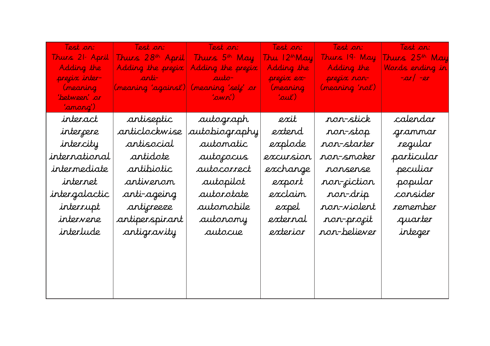| Test ar:       |                                         | Test on: Test on:                           | Test ar:                 | Test ar:        | "Test ar:           |
|----------------|-----------------------------------------|---------------------------------------------|--------------------------|-----------------|---------------------|
| Thurs 21 April |                                         | Thurs 28th April  Thurs 5th May             | Thu 12 <sup>th</sup> May | Thurs 19 "May"  | Thurs $25^{th}$ May |
| Adding the     |                                         | Adding the precix $\vert$ Adding the precix | Adding the               | Adding the      | Wards ending in     |
| preçix inter-  | anti- anti- duto-                       |                                             | preçix ex-               | preçix ron-     | $\vert$ -ar/ -er    |
| (nearing       | (meaning 'against')  (meaning 'selj' or |                                             | (nearing                 | (nearing 'rol') |                     |
| 'between' or   |                                         | 'awn') —                                    | 'aut')                   |                 |                     |
| 'anarg')       |                                         |                                             |                          |                 |                     |
| interact       | antiseptic                              | autograph                                   | exit                     | non-stick       | calendar            |
| intercere      | articlockwise                           | autobiography                               | extend                   | ron-stop        | grammar             |
| intercity      | artisocial                              | automatic                                   | explode                  | non-starter     | regular             |
| international  | antidote                                | autoxocus                                   | excursion                | non-smoker      | particular          |
| intermediate   | artibiotic                              | autocorrect                                 | exchange                 | ronsense        | peculiar            |
| internet       | antivenom                               | autopilot                                   | export                   | non-ciction     | popular             |
| intergalactic  | anti-ageing                             | autorotate                                  | exclaim                  | non-drip        | consider            |
| interrupt      | anticreeze                              | automobile                                  | expel                    | non-violent     | remember            |
| intervene      | antiperspirant                          | autorony                                    | external                 | non-procit      | quarter             |
| interlude      | antigravity                             | autocue                                     | exterior                 | non-believer    | integer             |
|                |                                         |                                             |                          |                 |                     |
|                |                                         |                                             |                          |                 |                     |
|                |                                         |                                             |                          |                 |                     |
|                |                                         |                                             |                          |                 |                     |
|                |                                         |                                             |                          |                 |                     |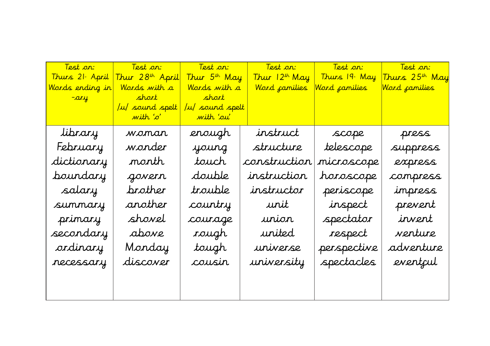| <u>Test ar: </u><br>Thurs 21ª April<br><u>Words ending in</u><br><mark>-ary p</mark> | <u> Test ar: '</u><br>Thur 28 <sup>th</sup> April<br>Words with a<br><mark>short s</mark><br>u/ sound spelt<br>with 'o' | <u> Test an: "</u><br>Thur 5 <sup>th</sup> May<br><mark>Words with a</mark><br><mark>short s</mark><br>u/ sound spelt<br>with 'ou' | Thur 12th May<br>Word camilies | a Test ar:<br>Thurs 19. May<br><u>Word <sub>f</sub>amilies</u> | <mark>Test on:</mark><br>Thurs 25 <sup>th</sup> May<br><u>Word <sub>f</sub>amilies </u> |
|--------------------------------------------------------------------------------------|-------------------------------------------------------------------------------------------------------------------------|------------------------------------------------------------------------------------------------------------------------------------|--------------------------------|----------------------------------------------------------------|-----------------------------------------------------------------------------------------|
| library                                                                              | woman                                                                                                                   | erough                                                                                                                             | instruct                       | scope                                                          | press                                                                                   |
| February                                                                             | wonder                                                                                                                  | young                                                                                                                              | structure                      | telescope                                                      | suppress                                                                                |
| dictionary                                                                           | north                                                                                                                   | touch                                                                                                                              | construction                   | microscope                                                     | express                                                                                 |
| boundary                                                                             | govern                                                                                                                  | double                                                                                                                             | instruction                    | horoscope                                                      | compress                                                                                |
| salary                                                                               | brother                                                                                                                 | trouble                                                                                                                            | instructor                     | periscope                                                      | impress                                                                                 |
| summary                                                                              | another                                                                                                                 | country                                                                                                                            | urit                           | inspect                                                        | prevent                                                                                 |
| primary                                                                              | shovel                                                                                                                  | courage                                                                                                                            | urion                          | spectator                                                      | invent                                                                                  |
| secondary                                                                            | above                                                                                                                   | <i>roug</i> h                                                                                                                      | united                         | respect                                                        | venture                                                                                 |
| ordinary                                                                             | Monday                                                                                                                  | tough                                                                                                                              | uriverse                       | perspective                                                    | adventure                                                                               |
| necessary                                                                            | discover                                                                                                                | cousir                                                                                                                             | university                     | spectacles                                                     | eventjul                                                                                |
|                                                                                      |                                                                                                                         |                                                                                                                                    |                                |                                                                |                                                                                         |